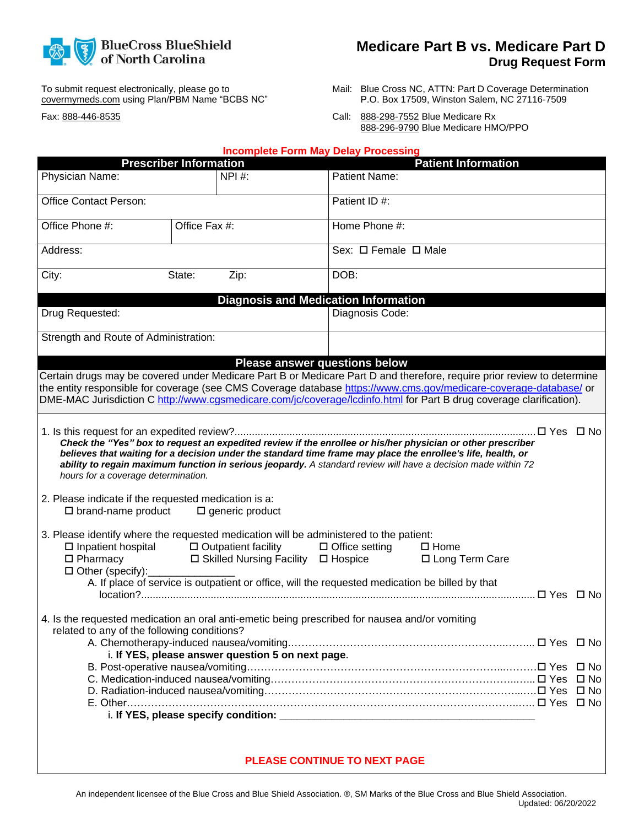

**Medicare Part B vs. Medicare Part D Drug Request Form**

To submit request electronically, please go to covermymeds.com using Plan/PBM Name "BCBS NC"

Fax: 888-446-8535

- Mail: Blue Cross NC, ATTN: Part D Coverage Determination P.O. Box 17509, Winston Salem, NC 27116-7509
- Call: 888-298-7552 Blue Medicare Rx 888-296-9790 Blue Medicare HMO/PPO

|                                                                                                                                                                                                                                                                                                                                                                   |                               |                                                                              | <b>Incomplete Form May Delay Processing</b>                                                                              |                                                                                                                                                                                                                                                                                                                                              |  |
|-------------------------------------------------------------------------------------------------------------------------------------------------------------------------------------------------------------------------------------------------------------------------------------------------------------------------------------------------------------------|-------------------------------|------------------------------------------------------------------------------|--------------------------------------------------------------------------------------------------------------------------|----------------------------------------------------------------------------------------------------------------------------------------------------------------------------------------------------------------------------------------------------------------------------------------------------------------------------------------------|--|
|                                                                                                                                                                                                                                                                                                                                                                   | <b>Prescriber Information</b> |                                                                              |                                                                                                                          | <b>Patient Information</b>                                                                                                                                                                                                                                                                                                                   |  |
| Physician Name:                                                                                                                                                                                                                                                                                                                                                   |                               | NPI #:                                                                       | <b>Patient Name:</b>                                                                                                     |                                                                                                                                                                                                                                                                                                                                              |  |
| Office Contact Person:                                                                                                                                                                                                                                                                                                                                            |                               |                                                                              | Patient ID #:                                                                                                            |                                                                                                                                                                                                                                                                                                                                              |  |
| Office Phone #:                                                                                                                                                                                                                                                                                                                                                   | Office Fax #:                 |                                                                              | Home Phone #:                                                                                                            |                                                                                                                                                                                                                                                                                                                                              |  |
| Address:                                                                                                                                                                                                                                                                                                                                                          |                               | Sex: $\Box$ Female $\Box$ Male                                               |                                                                                                                          |                                                                                                                                                                                                                                                                                                                                              |  |
| City:                                                                                                                                                                                                                                                                                                                                                             | State:                        | Zip:                                                                         | DOB:                                                                                                                     |                                                                                                                                                                                                                                                                                                                                              |  |
|                                                                                                                                                                                                                                                                                                                                                                   |                               |                                                                              | <b>Diagnosis and Medication Information</b>                                                                              |                                                                                                                                                                                                                                                                                                                                              |  |
| Drug Requested:                                                                                                                                                                                                                                                                                                                                                   |                               |                                                                              | Diagnosis Code:                                                                                                          |                                                                                                                                                                                                                                                                                                                                              |  |
| Strength and Route of Administration:                                                                                                                                                                                                                                                                                                                             |                               |                                                                              |                                                                                                                          |                                                                                                                                                                                                                                                                                                                                              |  |
|                                                                                                                                                                                                                                                                                                                                                                   |                               |                                                                              | <b>Please answer questions below</b>                                                                                     |                                                                                                                                                                                                                                                                                                                                              |  |
| Certain drugs may be covered under Medicare Part B or Medicare Part D and therefore, require prior review to determine<br>the entity responsible for coverage (see CMS Coverage database https://www.cms.gov/medicare-coverage-database/or<br>DME-MAC Jurisdiction C http://www.cqsmedicare.com/jc/coverage/lcdinfo.html for Part B drug coverage clarification). |                               |                                                                              |                                                                                                                          |                                                                                                                                                                                                                                                                                                                                              |  |
| hours for a coverage determination.<br>2. Please indicate if the requested medication is a:<br>$\square$ brand-name product                                                                                                                                                                                                                                       |                               | $\Box$ generic product                                                       |                                                                                                                          | Check the "Yes" box to request an expedited review if the enrollee or his/her physician or other prescriber<br>believes that waiting for a decision under the standard time frame may place the enrollee's life, health, or<br>ability to regain maximum function in serious jeopardy. A standard review will have a decision made within 72 |  |
| 3. Please identify where the requested medication will be administered to the patient:<br>$\square$ Inpatient hospital<br>$\Box$ Pharmacy<br>$\Box$ Other (specify):                                                                                                                                                                                              |                               | $\Box$ Outpatient facility<br>$\Box$ Skilled Nursing Facility $\Box$ Hospice | $\Box$ Office setting<br>A. If place of service is outpatient or office, will the requested medication be billed by that | $\square$ Home<br>□ Long Term Care                                                                                                                                                                                                                                                                                                           |  |
| 4. Is the requested medication an oral anti-emetic being prescribed for nausea and/or vomiting<br>related to any of the following conditions?                                                                                                                                                                                                                     |                               |                                                                              |                                                                                                                          |                                                                                                                                                                                                                                                                                                                                              |  |
|                                                                                                                                                                                                                                                                                                                                                                   |                               | i. If YES, please answer question 5 on next page.                            |                                                                                                                          |                                                                                                                                                                                                                                                                                                                                              |  |
|                                                                                                                                                                                                                                                                                                                                                                   |                               |                                                                              |                                                                                                                          |                                                                                                                                                                                                                                                                                                                                              |  |
|                                                                                                                                                                                                                                                                                                                                                                   |                               |                                                                              |                                                                                                                          |                                                                                                                                                                                                                                                                                                                                              |  |

## **PLEASE CONTINUE TO NEXT PAGE**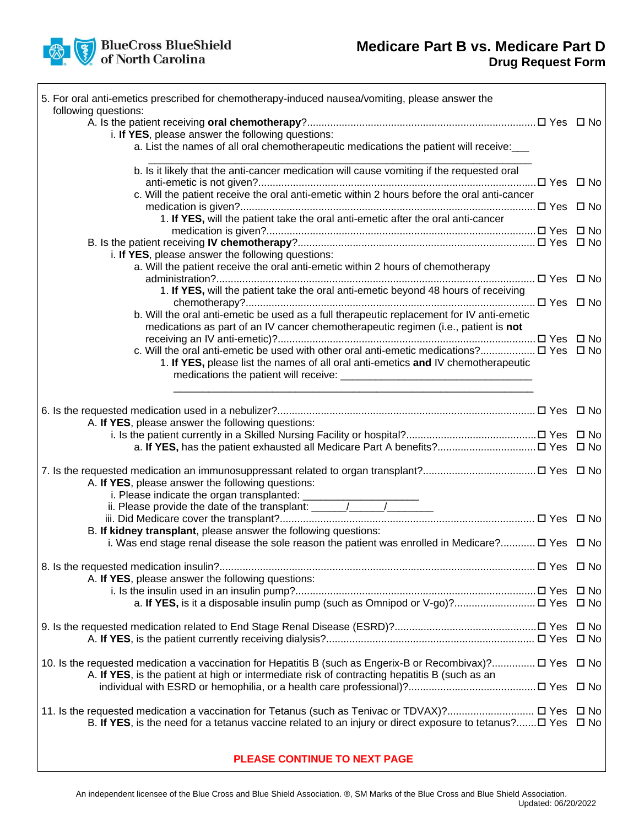## **Medicare Part B vs. Medicare Part D Drug Request Form**

| BlueCross BlueShield<br>of North Carolina |  |  |
|-------------------------------------------|--|--|
|                                           |  |  |

 $\lceil$ 

| 5. For oral anti-emetics prescribed for chemotherapy-induced nausea/vomiting, please answer the                                                                                                                                                                                                                                                                                                               |  |
|---------------------------------------------------------------------------------------------------------------------------------------------------------------------------------------------------------------------------------------------------------------------------------------------------------------------------------------------------------------------------------------------------------------|--|
| following questions:                                                                                                                                                                                                                                                                                                                                                                                          |  |
|                                                                                                                                                                                                                                                                                                                                                                                                               |  |
| i. If YES, please answer the following questions:                                                                                                                                                                                                                                                                                                                                                             |  |
| a. List the names of all oral chemotherapeutic medications the patient will receive:                                                                                                                                                                                                                                                                                                                          |  |
| b. Is it likely that the anti-cancer medication will cause vomiting if the requested oral                                                                                                                                                                                                                                                                                                                     |  |
|                                                                                                                                                                                                                                                                                                                                                                                                               |  |
| c. Will the patient receive the oral anti-emetic within 2 hours before the oral anti-cancer                                                                                                                                                                                                                                                                                                                   |  |
|                                                                                                                                                                                                                                                                                                                                                                                                               |  |
| 1. If YES, will the patient take the oral anti-emetic after the oral anti-cancer                                                                                                                                                                                                                                                                                                                              |  |
|                                                                                                                                                                                                                                                                                                                                                                                                               |  |
|                                                                                                                                                                                                                                                                                                                                                                                                               |  |
| i. If YES, please answer the following questions:                                                                                                                                                                                                                                                                                                                                                             |  |
| a. Will the patient receive the oral anti-emetic within 2 hours of chemotherapy                                                                                                                                                                                                                                                                                                                               |  |
|                                                                                                                                                                                                                                                                                                                                                                                                               |  |
| 1. If YES, will the patient take the oral anti-emetic beyond 48 hours of receiving                                                                                                                                                                                                                                                                                                                            |  |
|                                                                                                                                                                                                                                                                                                                                                                                                               |  |
|                                                                                                                                                                                                                                                                                                                                                                                                               |  |
| b. Will the oral anti-emetic be used as a full therapeutic replacement for IV anti-emetic                                                                                                                                                                                                                                                                                                                     |  |
| medications as part of an IV cancer chemotherapeutic regimen (i.e., patient is not                                                                                                                                                                                                                                                                                                                            |  |
|                                                                                                                                                                                                                                                                                                                                                                                                               |  |
| c. Will the oral anti-emetic be used with other oral anti-emetic medications? □ Yes □ No                                                                                                                                                                                                                                                                                                                      |  |
| 1. If YES, please list the names of all oral anti-emetics and IV chemotherapeutic                                                                                                                                                                                                                                                                                                                             |  |
|                                                                                                                                                                                                                                                                                                                                                                                                               |  |
|                                                                                                                                                                                                                                                                                                                                                                                                               |  |
|                                                                                                                                                                                                                                                                                                                                                                                                               |  |
|                                                                                                                                                                                                                                                                                                                                                                                                               |  |
| A. If YES, please answer the following questions:                                                                                                                                                                                                                                                                                                                                                             |  |
|                                                                                                                                                                                                                                                                                                                                                                                                               |  |
|                                                                                                                                                                                                                                                                                                                                                                                                               |  |
|                                                                                                                                                                                                                                                                                                                                                                                                               |  |
|                                                                                                                                                                                                                                                                                                                                                                                                               |  |
| A. If YES, please answer the following questions:                                                                                                                                                                                                                                                                                                                                                             |  |
|                                                                                                                                                                                                                                                                                                                                                                                                               |  |
| i. Please indicate the organ transplanted: $\frac{1}{\frac{1}{2} \cdot \frac{1}{2} \cdot \frac{1}{2} \cdot \frac{1}{2} \cdot \frac{1}{2} \cdot \frac{1}{2} \cdot \frac{1}{2} \cdot \frac{1}{2} \cdot \frac{1}{2} \cdot \frac{1}{2} \cdot \frac{1}{2} \cdot \frac{1}{2} \cdot \frac{1}{2} \cdot \frac{1}{2} \cdot \frac{1}{2} \cdot \frac{1}{2} \cdot \frac{1}{2} \cdot \frac{1}{2} \cdot \frac{1}{2} \cdot \$ |  |
|                                                                                                                                                                                                                                                                                                                                                                                                               |  |
|                                                                                                                                                                                                                                                                                                                                                                                                               |  |
| B. If kidney transplant, please answer the following questions:                                                                                                                                                                                                                                                                                                                                               |  |
| i. Was end stage renal disease the sole reason the patient was enrolled in Medicare? $\Box$ Yes $\Box$ No                                                                                                                                                                                                                                                                                                     |  |
|                                                                                                                                                                                                                                                                                                                                                                                                               |  |
| A. If YES, please answer the following questions:                                                                                                                                                                                                                                                                                                                                                             |  |
|                                                                                                                                                                                                                                                                                                                                                                                                               |  |
|                                                                                                                                                                                                                                                                                                                                                                                                               |  |
|                                                                                                                                                                                                                                                                                                                                                                                                               |  |
| a. If YES, is it a disposable insulin pump (such as Omnipod or V-go)? □ Yes □ No                                                                                                                                                                                                                                                                                                                              |  |
|                                                                                                                                                                                                                                                                                                                                                                                                               |  |
|                                                                                                                                                                                                                                                                                                                                                                                                               |  |
|                                                                                                                                                                                                                                                                                                                                                                                                               |  |
|                                                                                                                                                                                                                                                                                                                                                                                                               |  |
| 10. Is the requested medication a vaccination for Hepatitis B (such as Engerix-B or Recombivax)? $\Box$ Yes $\Box$ No                                                                                                                                                                                                                                                                                         |  |
| A. If YES, is the patient at high or intermediate risk of contracting hepatitis B (such as an                                                                                                                                                                                                                                                                                                                 |  |
|                                                                                                                                                                                                                                                                                                                                                                                                               |  |
|                                                                                                                                                                                                                                                                                                                                                                                                               |  |
| 11. Is the requested medication a vaccination for Tetanus (such as Tenivac or TDVAX)? □ Yes □ No                                                                                                                                                                                                                                                                                                              |  |
| B. If YES, is the need for a tetanus vaccine related to an injury or direct exposure to tetanus? $\Box$ Yes $\Box$ No                                                                                                                                                                                                                                                                                         |  |
|                                                                                                                                                                                                                                                                                                                                                                                                               |  |